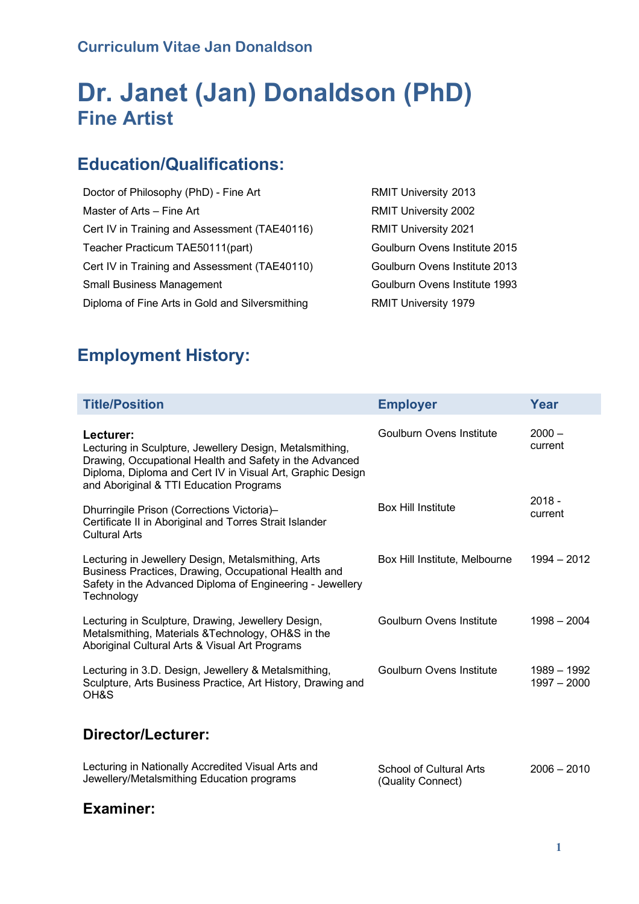# **Dr. Janet (Jan) Donaldson (PhD) Fine Artist**

## **Education/Qualifications:**

Doctor of Philosophy (PhD) - Fine Art RMIT University 2013 Master of Arts – Fine Art Cert IV in Training and Assessment (TAE40116) Teacher Practicum TAE50111(part) Cert IV in Training and Assessment (TAE40110) Goulburn Ovens Institute 2013 Small Business Management Goulburn Ovens Institute 1993 Diploma of Fine Arts in Gold and Silversmithing **RMIT University 1979** 

RMIT University 2002 RMIT University 2021 Goulburn Ovens Institute 2015

# **Employment History:**

| <b>Title/Position</b>                                                                                                                                                                                                                     | <b>Employer</b>                              | Year                         |
|-------------------------------------------------------------------------------------------------------------------------------------------------------------------------------------------------------------------------------------------|----------------------------------------------|------------------------------|
| Lecturer:<br>Lecturing in Sculpture, Jewellery Design, Metalsmithing,<br>Drawing, Occupational Health and Safety in the Advanced<br>Diploma, Diploma and Cert IV in Visual Art, Graphic Design<br>and Aboriginal & TTI Education Programs | <b>Goulburn Ovens Institute</b>              | $2000 -$<br>current          |
| Dhurringile Prison (Corrections Victoria)-<br>Certificate II in Aboriginal and Torres Strait Islander<br><b>Cultural Arts</b>                                                                                                             | <b>Box Hill Institute</b>                    | $2018 -$<br>current          |
| Lecturing in Jewellery Design, Metalsmithing, Arts<br>Business Practices, Drawing, Occupational Health and<br>Safety in the Advanced Diploma of Engineering - Jewellery<br>Technology                                                     | Box Hill Institute, Melbourne                | $1994 - 2012$                |
| Lecturing in Sculpture, Drawing, Jewellery Design,<br>Metalsmithing, Materials & Technology, OH&S in the<br>Aboriginal Cultural Arts & Visual Art Programs                                                                                | <b>Goulburn Ovens Institute</b>              | $1998 - 2004$                |
| Lecturing in 3.D. Design, Jewellery & Metalsmithing,<br>Sculpture, Arts Business Practice, Art History, Drawing and<br>OH&S                                                                                                               | <b>Goulburn Ovens Institute</b>              | 1989 - 1992<br>$1997 - 2000$ |
| Director/Lecturer:                                                                                                                                                                                                                        |                                              |                              |
| Lecturing in Nationally Accredited Visual Arts and<br>Jewellery/Metalsmithing Education programs                                                                                                                                          | School of Cultural Arts<br>(Quality Connect) | $2006 - 2010$                |

#### **Examiner:**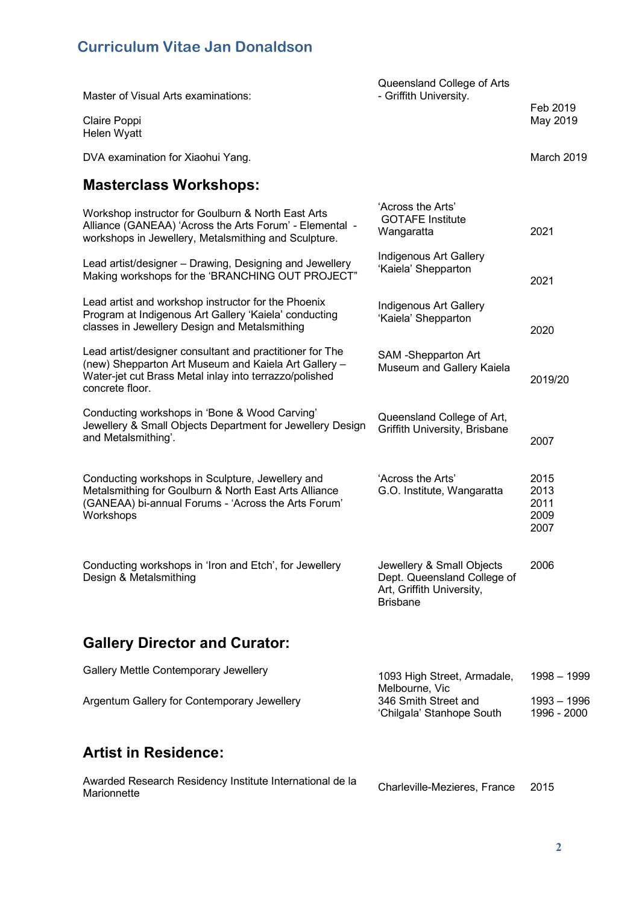| Master of Visual Arts examinations:                                                                                                                                                           | Queensland College of Arts<br>- Griffith University.                                                     | Feb 2019                             |
|-----------------------------------------------------------------------------------------------------------------------------------------------------------------------------------------------|----------------------------------------------------------------------------------------------------------|--------------------------------------|
| Claire Poppi<br>Helen Wyatt                                                                                                                                                                   |                                                                                                          | May 2019                             |
| DVA examination for Xiaohui Yang.                                                                                                                                                             |                                                                                                          | March 2019                           |
| <b>Masterclass Workshops:</b>                                                                                                                                                                 |                                                                                                          |                                      |
| Workshop instructor for Goulburn & North East Arts<br>Alliance (GANEAA) 'Across the Arts Forum' - Elemental -<br>workshops in Jewellery, Metalsmithing and Sculpture.                         | 'Across the Arts'<br><b>GOTAFE Institute</b><br>Wangaratta                                               | 2021                                 |
| Lead artist/designer - Drawing, Designing and Jewellery<br>Making workshops for the 'BRANCHING OUT PROJECT"                                                                                   | Indigenous Art Gallery<br>'Kaiela' Shepparton                                                            | 2021                                 |
| Lead artist and workshop instructor for the Phoenix<br>Program at Indigenous Art Gallery 'Kaiela' conducting<br>classes in Jewellery Design and Metalsmithing                                 | Indigenous Art Gallery<br>'Kaiela' Shepparton                                                            | 2020                                 |
| Lead artist/designer consultant and practitioner for The<br>(new) Shepparton Art Museum and Kaiela Art Gallery -<br>Water-jet cut Brass Metal inlay into terrazzo/polished<br>concrete floor. | SAM -Shepparton Art<br>Museum and Gallery Kaiela                                                         | 2019/20                              |
| Conducting workshops in 'Bone & Wood Carving'<br>Jewellery & Small Objects Department for Jewellery Design<br>and Metalsmithing'.                                                             | Queensland College of Art,<br>Griffith University, Brisbane                                              | 2007                                 |
| Conducting workshops in Sculpture, Jewellery and<br>Metalsmithing for Goulburn & North East Arts Alliance<br>(GANEAA) bi-annual Forums - 'Across the Arts Forum'<br>Workshops                 | 'Across the Arts'<br>G.O. Institute, Wangaratta                                                          | 2015<br>2013<br>2011<br>2009<br>2007 |
| Conducting workshops in 'Iron and Etch', for Jewellery<br>Design & Metalsmithing                                                                                                              | Jewellery & Small Objects<br>Dept. Queensland College of<br>Art, Griffith University,<br><b>Brisbane</b> | 2006                                 |
| <b>Gallery Director and Curator:</b>                                                                                                                                                          |                                                                                                          |                                      |
| Gallery Mettle Contemporary Jewellery                                                                                                                                                         | 1093 High Street, Armadale,                                                                              | 1998 - 1999                          |
| Argentum Gallery for Contemporary Jewellery                                                                                                                                                   | Melbourne, Vic<br>346 Smith Street and<br>'Chilgala' Stanhope South                                      | 1993 - 1996<br>1996 - 2000           |

## **Artist in Residence:**

| Awarded Research Residency Institute International de la | Charleville-Mezieres, France | -2015 |
|----------------------------------------------------------|------------------------------|-------|
| Marionnette                                              |                              |       |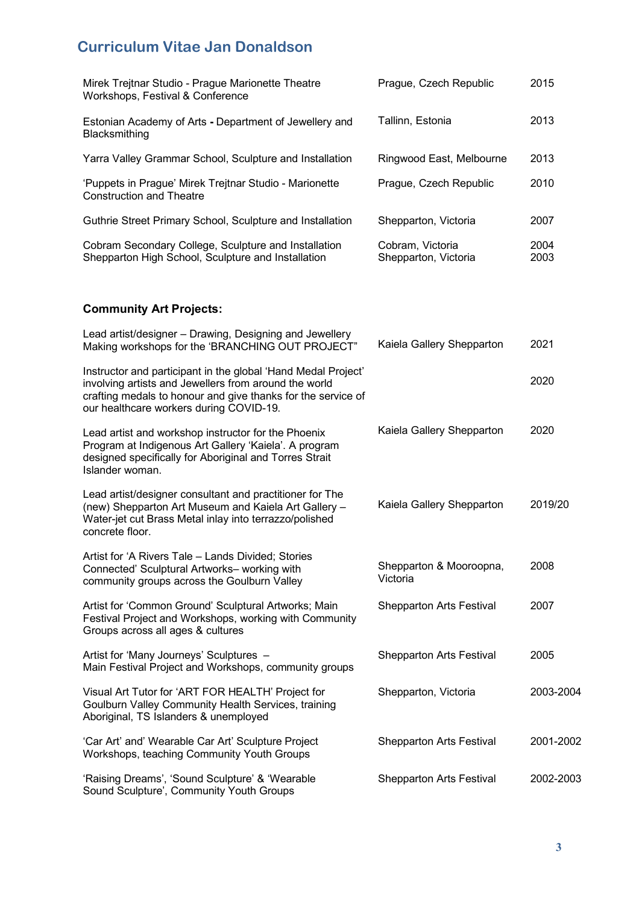| Mirek Trejtnar Studio - Prague Marionette Theatre<br>Workshops, Festival & Conference                      | Prague, Czech Republic                   | 2015         |
|------------------------------------------------------------------------------------------------------------|------------------------------------------|--------------|
| Estonian Academy of Arts - Department of Jewellery and<br><b>Blacksmithing</b>                             | Tallinn, Estonia                         | 2013         |
| Yarra Valley Grammar School, Sculpture and Installation                                                    | Ringwood East, Melbourne                 | 2013         |
| 'Puppets in Prague' Mirek Trejtnar Studio - Marionette<br><b>Construction and Theatre</b>                  | Prague, Czech Republic                   | 2010         |
| Guthrie Street Primary School, Sculpture and Installation                                                  | Shepparton, Victoria                     | 2007         |
| Cobram Secondary College, Sculpture and Installation<br>Shepparton High School, Sculpture and Installation | Cobram, Victoria<br>Shepparton, Victoria | 2004<br>2003 |

#### **Community Art Projects:**

| Lead artist/designer - Drawing, Designing and Jewellery<br>Making workshops for the 'BRANCHING OUT PROJECT"                                                                                                                       | Kaiela Gallery Shepparton           | 2021      |
|-----------------------------------------------------------------------------------------------------------------------------------------------------------------------------------------------------------------------------------|-------------------------------------|-----------|
| Instructor and participant in the global 'Hand Medal Project'<br>involving artists and Jewellers from around the world<br>crafting medals to honour and give thanks for the service of<br>our healthcare workers during COVID-19. |                                     | 2020      |
| Lead artist and workshop instructor for the Phoenix<br>Program at Indigenous Art Gallery 'Kaiela'. A program<br>designed specifically for Aboriginal and Torres Strait<br>Islander woman.                                         | Kaiela Gallery Shepparton           | 2020      |
| Lead artist/designer consultant and practitioner for The<br>(new) Shepparton Art Museum and Kaiela Art Gallery -<br>Water-jet cut Brass Metal inlay into terrazzo/polished<br>concrete floor.                                     | Kaiela Gallery Shepparton           | 2019/20   |
| Artist for 'A Rivers Tale - Lands Divided; Stories<br>Connected' Sculptural Artworks- working with<br>community groups across the Goulburn Valley                                                                                 | Shepparton & Mooroopna,<br>Victoria | 2008      |
| Artist for 'Common Ground' Sculptural Artworks; Main<br>Festival Project and Workshops, working with Community<br>Groups across all ages & cultures                                                                               | <b>Shepparton Arts Festival</b>     | 2007      |
| Artist for 'Many Journeys' Sculptures -<br>Main Festival Project and Workshops, community groups                                                                                                                                  | <b>Shepparton Arts Festival</b>     | 2005      |
| Visual Art Tutor for 'ART FOR HEALTH' Project for<br>Goulburn Valley Community Health Services, training<br>Aboriginal, TS Islanders & unemployed                                                                                 | Shepparton, Victoria                | 2003-2004 |
| 'Car Art' and' Wearable Car Art' Sculpture Project<br>Workshops, teaching Community Youth Groups                                                                                                                                  | <b>Shepparton Arts Festival</b>     | 2001-2002 |
| 'Raising Dreams', 'Sound Sculpture' & 'Wearable<br>Sound Sculpture', Community Youth Groups                                                                                                                                       | <b>Shepparton Arts Festival</b>     | 2002-2003 |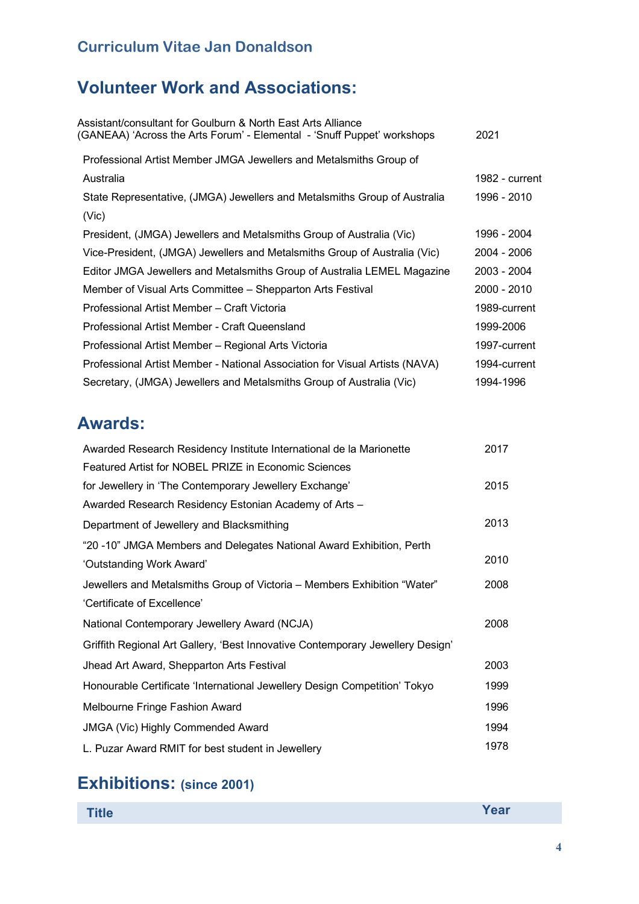# **Volunteer Work and Associations:**

| Assistant/consultant for Goulburn & North East Arts Alliance<br>(GANEAA) 'Across the Arts Forum' - Elemental - 'Snuff Puppet' workshops | 2021           |
|-----------------------------------------------------------------------------------------------------------------------------------------|----------------|
| Professional Artist Member JMGA Jewellers and Metalsmiths Group of                                                                      |                |
| Australia                                                                                                                               | 1982 - current |
| State Representative, (JMGA) Jewellers and Metalsmiths Group of Australia                                                               | 1996 - 2010    |
| (Vic)                                                                                                                                   |                |
| President, (JMGA) Jewellers and Metalsmiths Group of Australia (Vic)                                                                    | 1996 - 2004    |
| Vice-President, (JMGA) Jewellers and Metalsmiths Group of Australia (Vic)                                                               | 2004 - 2006    |
| Editor JMGA Jewellers and Metalsmiths Group of Australia LEMEL Magazine                                                                 | 2003 - 2004    |
| Member of Visual Arts Committee – Shepparton Arts Festival                                                                              | 2000 - 2010    |
| Professional Artist Member - Craft Victoria                                                                                             | 1989-current   |
| Professional Artist Member - Craft Queensland                                                                                           | 1999-2006      |
| Professional Artist Member - Regional Arts Victoria                                                                                     | 1997-current   |
| Professional Artist Member - National Association for Visual Artists (NAVA)                                                             | 1994-current   |
| Secretary, (JMGA) Jewellers and Metalsmiths Group of Australia (Vic)                                                                    | 1994-1996      |
|                                                                                                                                         |                |

# **Awards:**

| Awarded Research Residency Institute International de la Marionette            | 2017 |
|--------------------------------------------------------------------------------|------|
| Featured Artist for NOBEL PRIZE in Economic Sciences                           |      |
| for Jewellery in 'The Contemporary Jewellery Exchange'                         | 2015 |
| Awarded Research Residency Estonian Academy of Arts -                          |      |
| Department of Jewellery and Blacksmithing                                      | 2013 |
| "20 -10" JMGA Members and Delegates National Award Exhibition, Perth           |      |
| 'Outstanding Work Award'                                                       | 2010 |
| Jewellers and Metalsmiths Group of Victoria – Members Exhibition "Water"       | 2008 |
| 'Certificate of Excellence'                                                    |      |
| National Contemporary Jewellery Award (NCJA)                                   | 2008 |
| Griffith Regional Art Gallery, 'Best Innovative Contemporary Jewellery Design' |      |
| Jhead Art Award, Shepparton Arts Festival                                      | 2003 |
| Honourable Certificate 'International Jewellery Design Competition' Tokyo      | 1999 |
| Melbourne Fringe Fashion Award                                                 | 1996 |
| <b>JMGA (Vic) Highly Commended Award</b>                                       | 1994 |
| L. Puzar Award RMIT for best student in Jewellery                              | 1978 |

## **Exhibitions: (since 2001)**

| <b>TEAL</b><br>$\blacksquare$ itle $\blacksquare$ |  | Year |
|---------------------------------------------------|--|------|
|                                                   |  |      |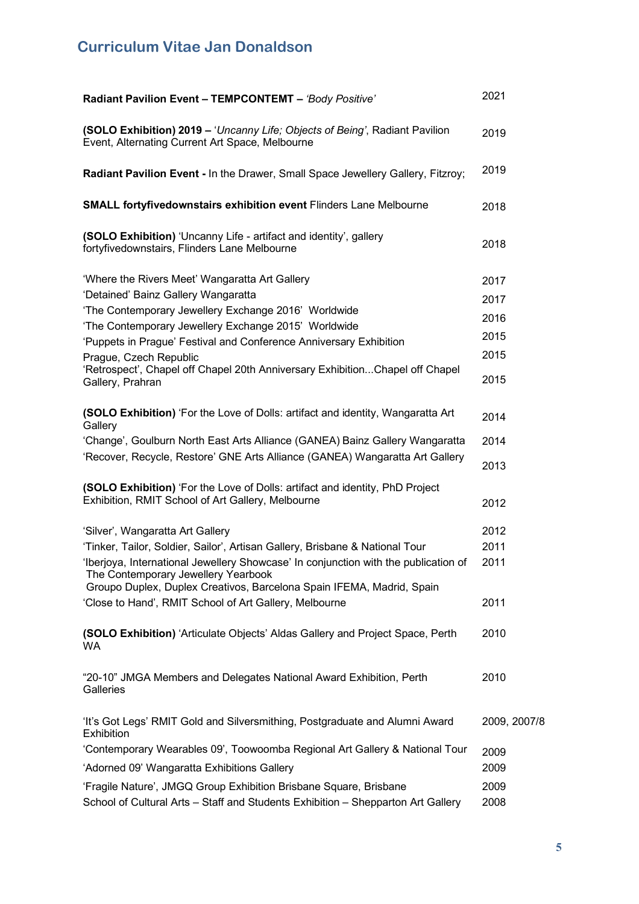| Radiant Pavilion Event - TEMPCONTEMT - 'Body Positive'                                                                            | 2021         |
|-----------------------------------------------------------------------------------------------------------------------------------|--------------|
| (SOLO Exhibition) 2019 - 'Uncanny Life; Objects of Being', Radiant Pavilion<br>Event, Alternating Current Art Space, Melbourne    | 2019         |
| Radiant Pavilion Event - In the Drawer, Small Space Jewellery Gallery, Fitzroy;                                                   | 2019         |
| <b>SMALL fortyfivedownstairs exhibition event Flinders Lane Melbourne</b>                                                         | 2018         |
| (SOLO Exhibition) 'Uncanny Life - artifact and identity', gallery<br>fortyfivedownstairs, Flinders Lane Melbourne                 | 2018         |
| 'Where the Rivers Meet' Wangaratta Art Gallery                                                                                    | 2017         |
| 'Detained' Bainz Gallery Wangaratta                                                                                               | 2017         |
| 'The Contemporary Jewellery Exchange 2016' Worldwide                                                                              | 2016         |
| 'The Contemporary Jewellery Exchange 2015' Worldwide                                                                              |              |
| 'Puppets in Prague' Festival and Conference Anniversary Exhibition                                                                | 2015         |
| Prague, Czech Republic                                                                                                            | 2015         |
| 'Retrospect', Chapel off Chapel 20th Anniversary ExhibitionChapel off Chapel<br>Gallery, Prahran                                  | 2015         |
| (SOLO Exhibition) 'For the Love of Dolls: artifact and identity, Wangaratta Art<br>Gallery                                        | 2014         |
| 'Change', Goulburn North East Arts Alliance (GANEA) Bainz Gallery Wangaratta                                                      | 2014         |
| 'Recover, Recycle, Restore' GNE Arts Alliance (GANEA) Wangaratta Art Gallery                                                      | 2013         |
| (SOLO Exhibition) 'For the Love of Dolls: artifact and identity, PhD Project<br>Exhibition, RMIT School of Art Gallery, Melbourne | 2012         |
| 'Silver', Wangaratta Art Gallery                                                                                                  | 2012         |
| 'Tinker, Tailor, Soldier, Sailor', Artisan Gallery, Brisbane & National Tour                                                      | 2011         |
| 'Iberjoya, International Jewellery Showcase' In conjunction with the publication of<br>The Contemporary Jewellery Yearbook        | 2011         |
| Groupo Duplex, Duplex Creativos, Barcelona Spain IFEMA, Madrid, Spain                                                             |              |
| 'Close to Hand', RMIT School of Art Gallery, Melbourne                                                                            | 2011         |
| (SOLO Exhibition) 'Articulate Objects' Aldas Gallery and Project Space, Perth<br>WA.                                              | 2010         |
| "20-10" JMGA Members and Delegates National Award Exhibition, Perth<br>Galleries                                                  | 2010         |
| 'It's Got Legs' RMIT Gold and Silversmithing, Postgraduate and Alumni Award<br>Exhibition                                         | 2009, 2007/8 |
| 'Contemporary Wearables 09', Toowoomba Regional Art Gallery & National Tour                                                       | 2009         |
| 'Adorned 09' Wangaratta Exhibitions Gallery                                                                                       | 2009         |
| 'Fragile Nature', JMGQ Group Exhibition Brisbane Square, Brisbane                                                                 | 2009         |
| School of Cultural Arts - Staff and Students Exhibition - Shepparton Art Gallery                                                  | 2008         |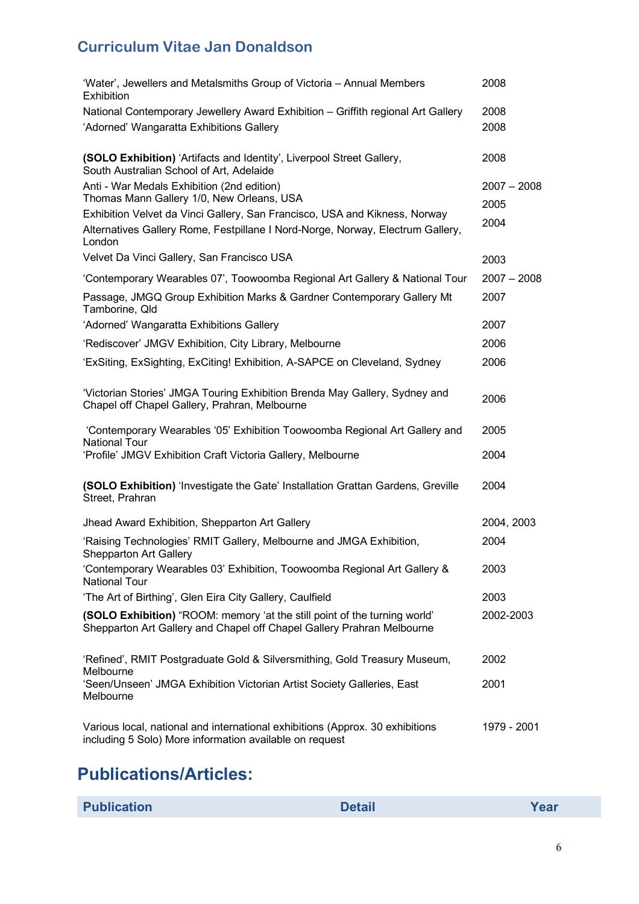| 'Water', Jewellers and Metalsmiths Group of Victoria - Annual Members<br><b>Exhibition</b>                                                                             | 2008          |
|------------------------------------------------------------------------------------------------------------------------------------------------------------------------|---------------|
| National Contemporary Jewellery Award Exhibition - Griffith regional Art Gallery                                                                                       | 2008          |
| 'Adorned' Wangaratta Exhibitions Gallery                                                                                                                               | 2008          |
| (SOLO Exhibition) 'Artifacts and Identity', Liverpool Street Gallery,<br>South Australian School of Art, Adelaide                                                      | 2008          |
| Anti - War Medals Exhibition (2nd edition)                                                                                                                             | $2007 - 2008$ |
| Thomas Mann Gallery 1/0, New Orleans, USA                                                                                                                              | 2005          |
| Exhibition Velvet da Vinci Gallery, San Francisco, USA and Kikness, Norway<br>Alternatives Gallery Rome, Festpillane I Nord-Norge, Norway, Electrum Gallery,<br>London | 2004          |
| Velvet Da Vinci Gallery, San Francisco USA                                                                                                                             | 2003          |
| 'Contemporary Wearables 07', Toowoomba Regional Art Gallery & National Tour                                                                                            | $2007 - 2008$ |
| Passage, JMGQ Group Exhibition Marks & Gardner Contemporary Gallery Mt<br>Tamborine, Qld                                                                               | 2007          |
| 'Adorned' Wangaratta Exhibitions Gallery                                                                                                                               | 2007          |
| 'Rediscover' JMGV Exhibition, City Library, Melbourne                                                                                                                  | 2006          |
| 'ExSiting, ExSighting, ExCiting! Exhibition, A-SAPCE on Cleveland, Sydney                                                                                              | 2006          |
| 'Victorian Stories' JMGA Touring Exhibition Brenda May Gallery, Sydney and<br>Chapel off Chapel Gallery, Prahran, Melbourne                                            | 2006          |
| 'Contemporary Wearables '05' Exhibition Toowoomba Regional Art Gallery and<br><b>National Tour</b>                                                                     | 2005          |
| 'Profile' JMGV Exhibition Craft Victoria Gallery, Melbourne                                                                                                            | 2004          |
| (SOLO Exhibition) 'Investigate the Gate' Installation Grattan Gardens, Greville<br>Street, Prahran                                                                     | 2004          |
| Jhead Award Exhibition, Shepparton Art Gallery                                                                                                                         | 2004, 2003    |
| 'Raising Technologies' RMIT Gallery, Melbourne and JMGA Exhibition,<br><b>Shepparton Art Gallery</b>                                                                   | 2004          |
| 'Contemporary Wearables 03' Exhibition, Toowoomba Regional Art Gallery &<br><b>National Tour</b>                                                                       | 2003          |
| 'The Art of Birthing', Glen Eira City Gallery, Caulfield                                                                                                               | 2003          |
| (SOLO Exhibition) "ROOM: memory 'at the still point of the turning world'<br>Shepparton Art Gallery and Chapel off Chapel Gallery Prahran Melbourne                    | 2002-2003     |
| 'Refined', RMIT Postgraduate Gold & Silversmithing, Gold Treasury Museum,<br>Melbourne                                                                                 | 2002          |
| 'Seen/Unseen' JMGA Exhibition Victorian Artist Society Galleries, East<br>Melbourne                                                                                    | 2001          |
| Various local, national and international exhibitions (Approx. 30 exhibitions<br>including 5 Solo) More information available on request                               | 1979 - 2001   |

# **Publications/Articles:**

| <b>Publication</b> | <b>Detail</b> | Year |
|--------------------|---------------|------|
|--------------------|---------------|------|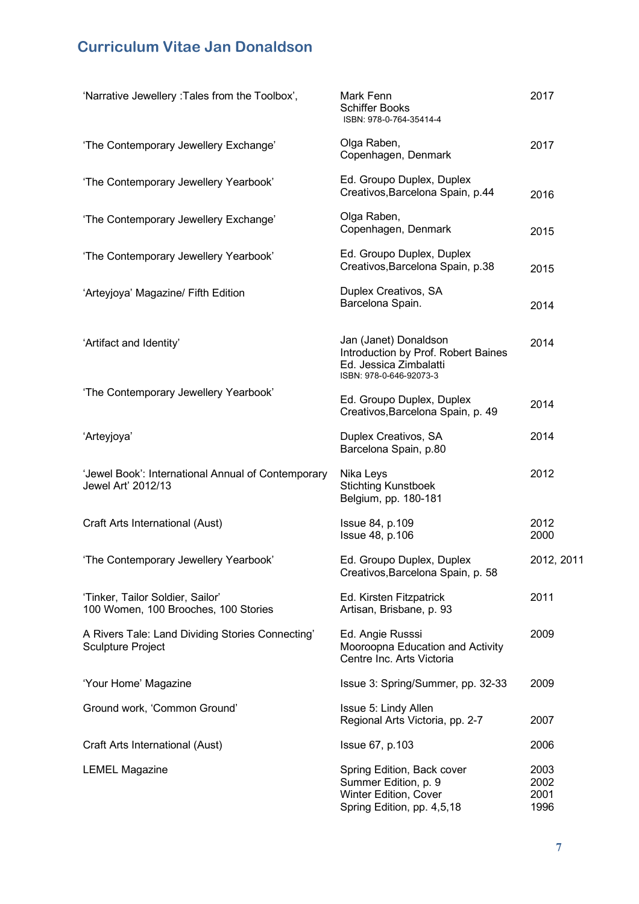| 'Narrative Jewellery : Tales from the Toolbox',                              | Mark Fenn<br><b>Schiffer Books</b><br>ISBN: 978-0-764-35414-4                                                     | 2017                         |
|------------------------------------------------------------------------------|-------------------------------------------------------------------------------------------------------------------|------------------------------|
| 'The Contemporary Jewellery Exchange'                                        | Olga Raben,<br>Copenhagen, Denmark                                                                                | 2017                         |
| 'The Contemporary Jewellery Yearbook'                                        | Ed. Groupo Duplex, Duplex<br>Creativos, Barcelona Spain, p.44                                                     | 2016                         |
| 'The Contemporary Jewellery Exchange'                                        | Olga Raben,<br>Copenhagen, Denmark                                                                                | 2015                         |
| 'The Contemporary Jewellery Yearbook'                                        | Ed. Groupo Duplex, Duplex<br>Creativos, Barcelona Spain, p.38                                                     | 2015                         |
| 'Arteyjoya' Magazine/ Fifth Edition                                          | Duplex Creativos, SA<br>Barcelona Spain.                                                                          | 2014                         |
| 'Artifact and Identity'                                                      | Jan (Janet) Donaldson<br>Introduction by Prof. Robert Baines<br>Ed. Jessica Zimbalatti<br>ISBN: 978-0-646-92073-3 | 2014                         |
| 'The Contemporary Jewellery Yearbook'                                        | Ed. Groupo Duplex, Duplex<br>Creativos, Barcelona Spain, p. 49                                                    | 2014                         |
| 'Arteyjoya'                                                                  | Duplex Creativos, SA<br>Barcelona Spain, p.80                                                                     | 2014                         |
| 'Jewel Book': International Annual of Contemporary<br>Jewel Art' 2012/13     | Nika Leys<br><b>Stichting Kunstboek</b><br>Belgium, pp. 180-181                                                   | 2012                         |
| Craft Arts International (Aust)                                              | Issue 84, p.109<br>Issue 48, p.106                                                                                | 2012<br>2000                 |
| 'The Contemporary Jewellery Yearbook'                                        | Ed. Groupo Duplex, Duplex<br>Creativos, Barcelona Spain, p. 58                                                    | 2012, 2011                   |
| 'Tinker, Tailor Soldier, Sailor'<br>100 Women, 100 Brooches, 100 Stories     | Ed. Kirsten Fitzpatrick<br>Artisan, Brisbane, p. 93                                                               | 2011                         |
| A Rivers Tale: Land Dividing Stories Connecting'<br><b>Sculpture Project</b> | Ed. Angie Russsi<br>Mooroopna Education and Activity<br>Centre Inc. Arts Victoria                                 | 2009                         |
| 'Your Home' Magazine                                                         | Issue 3: Spring/Summer, pp. 32-33                                                                                 | 2009                         |
| Ground work, 'Common Ground'                                                 | Issue 5: Lindy Allen<br>Regional Arts Victoria, pp. 2-7                                                           | 2007                         |
| Craft Arts International (Aust)                                              | Issue 67, p.103                                                                                                   | 2006                         |
| <b>LEMEL Magazine</b>                                                        | Spring Edition, Back cover<br>Summer Edition, p. 9<br>Winter Edition, Cover<br>Spring Edition, pp. 4,5,18         | 2003<br>2002<br>2001<br>1996 |